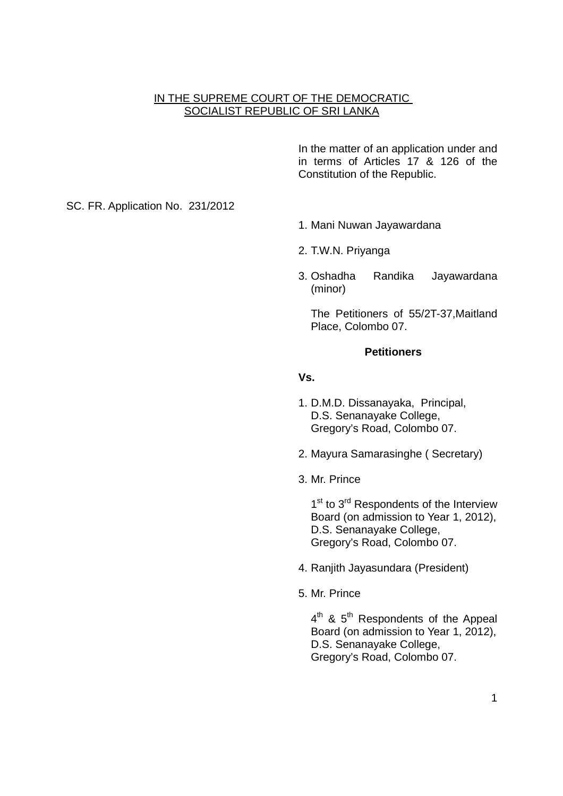## IN THE SUPREME COURT OF THE DEMOCRATIC SOCIALIST REPUBLIC OF SRI LANKA

In the matter of an application under and in terms of Articles 17 & 126 of the Constitution of the Republic.

SC. FR. Application No. 231/2012

- 1. Mani Nuwan Jayawardana
- 2. T.W.N. Priyanga
- 3. Oshadha Randika Jayawardana (minor)

The Petitioners of 55/2T-37,Maitland Place, Colombo 07.

### **Petitioners**

**Vs.** 

- 1. D.M.D. Dissanayaka, Principal, D.S. Senanayake College, Gregory's Road, Colombo 07.
- 2. Mayura Samarasinghe ( Secretary)
- 3. Mr. Prince

1<sup>st</sup> to 3<sup>rd</sup> Respondents of the Interview Board (on admission to Year 1, 2012), D.S. Senanayake College, Gregory's Road, Colombo 07.

- 4. Ranjith Jayasundara (President)
- 5. Mr. Prince

 $4^{\text{th}}$  &  $5^{\text{th}}$  Respondents of the Appeal Board (on admission to Year 1, 2012), D.S. Senanayake College, Gregory's Road, Colombo 07.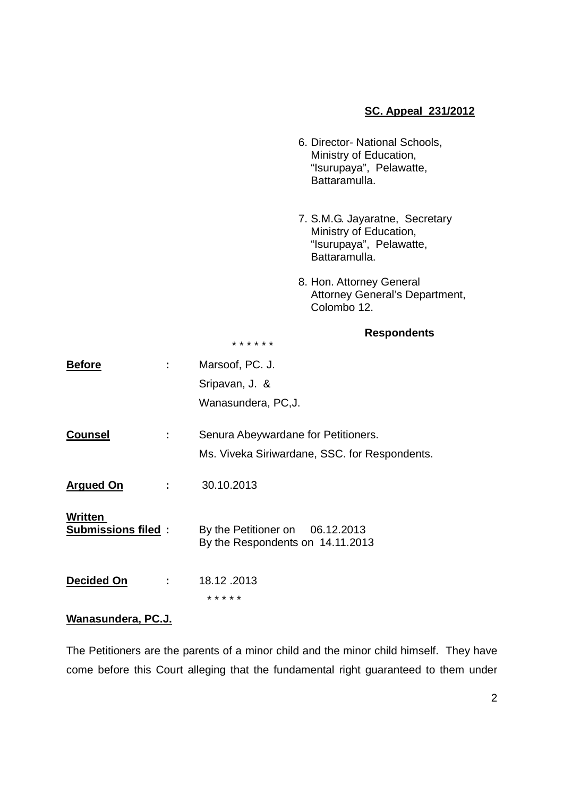# **SC. Appeal 231/2012**

- 6. Director- National Schools, Ministry of Education, "Isurupaya", Pelawatte, Battaramulla.
- 7. S.M.G. Jayaratne, Secretary Ministry of Education, "Isurupaya", Pelawatte, Battaramulla.
- 8. Hon. Attorney General Attorney General's Department, Colombo 12.

### **Respondents**

\* \* \* \* \* \*

| <b>Before</b>                        |   | Marsoof, PC. J.                                                     |
|--------------------------------------|---|---------------------------------------------------------------------|
|                                      |   | Sripavan, J. &                                                      |
|                                      |   | Wanasundera, PC, J.                                                 |
| <b>Counsel</b>                       |   | Senura Abeywardane for Petitioners.                                 |
|                                      |   | Ms. Viveka Siriwardane, SSC. for Respondents.                       |
| <b>Argued On</b>                     |   | 30.10.2013                                                          |
| Written<br><b>Submissions filed:</b> |   | By the Petitioner on 06.12.2013<br>By the Respondents on 14.11.2013 |
| Decided On                           | ÷ | 18.12.2013<br>* * * * *                                             |

### **Wanasundera, PC.J.**

The Petitioners are the parents of a minor child and the minor child himself. They have come before this Court alleging that the fundamental right guaranteed to them under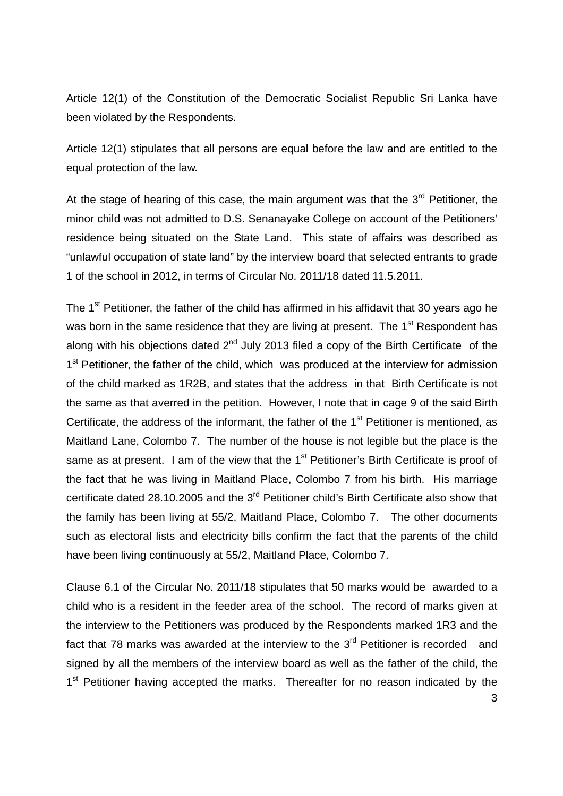Article 12(1) of the Constitution of the Democratic Socialist Republic Sri Lanka have been violated by the Respondents.

Article 12(1) stipulates that all persons are equal before the law and are entitled to the equal protection of the law.

At the stage of hearing of this case, the main argument was that the  $3<sup>rd</sup>$  Petitioner, the minor child was not admitted to D.S. Senanayake College on account of the Petitioners' residence being situated on the State Land. This state of affairs was described as "unlawful occupation of state land" by the interview board that selected entrants to grade 1 of the school in 2012, in terms of Circular No. 2011/18 dated 11.5.2011.

The 1<sup>st</sup> Petitioner, the father of the child has affirmed in his affidavit that 30 years ago he was born in the same residence that they are living at present. The 1<sup>st</sup> Respondent has along with his objections dated  $2^{nd}$  July 2013 filed a copy of the Birth Certificate of the 1<sup>st</sup> Petitioner, the father of the child, which was produced at the interview for admission of the child marked as 1R2B, and states that the address in that Birth Certificate is not the same as that averred in the petition. However, I note that in cage 9 of the said Birth Certificate, the address of the informant, the father of the  $1<sup>st</sup>$  Petitioner is mentioned, as Maitland Lane, Colombo 7. The number of the house is not legible but the place is the same as at present. I am of the view that the  $1<sup>st</sup>$  Petitioner's Birth Certificate is proof of the fact that he was living in Maitland Place, Colombo 7 from his birth. His marriage certificate dated 28.10.2005 and the 3<sup>rd</sup> Petitioner child's Birth Certificate also show that the family has been living at 55/2, Maitland Place, Colombo 7. The other documents such as electoral lists and electricity bills confirm the fact that the parents of the child have been living continuously at 55/2, Maitland Place, Colombo 7.

Clause 6.1 of the Circular No. 2011/18 stipulates that 50 marks would be awarded to a child who is a resident in the feeder area of the school. The record of marks given at the interview to the Petitioners was produced by the Respondents marked 1R3 and the fact that 78 marks was awarded at the interview to the  $3<sup>rd</sup>$  Petitioner is recorded and signed by all the members of the interview board as well as the father of the child, the 1<sup>st</sup> Petitioner having accepted the marks. Thereafter for no reason indicated by the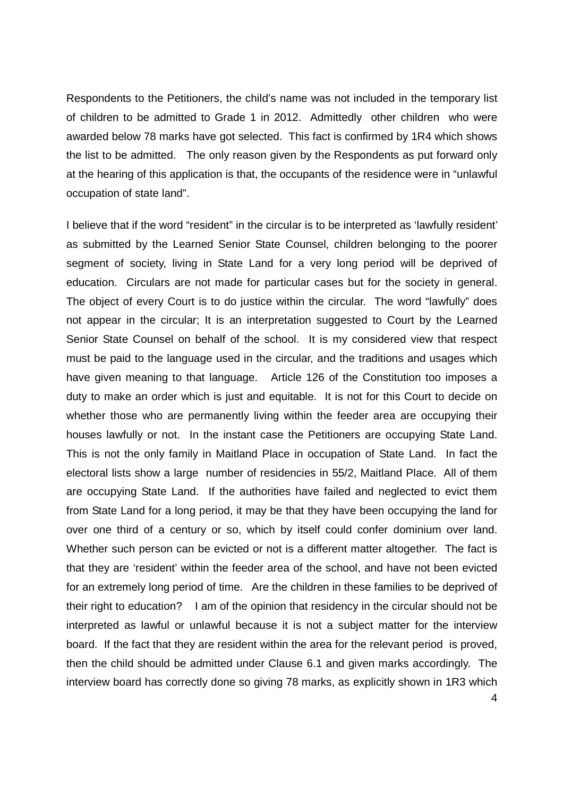Respondents to the Petitioners, the child's name was not included in the temporary list of children to be admitted to Grade 1 in 2012. Admittedly other children who were awarded below 78 marks have got selected. This fact is confirmed by 1R4 which shows the list to be admitted. The only reason given by the Respondents as put forward only at the hearing of this application is that, the occupants of the residence were in "unlawful occupation of state land".

I believe that if the word "resident" in the circular is to be interpreted as 'lawfully resident' as submitted by the Learned Senior State Counsel, children belonging to the poorer segment of society, living in State Land for a very long period will be deprived of education. Circulars are not made for particular cases but for the society in general. The object of every Court is to do justice within the circular. The word "lawfully" does not appear in the circular; It is an interpretation suggested to Court by the Learned Senior State Counsel on behalf of the school. It is my considered view that respect must be paid to the language used in the circular, and the traditions and usages which have given meaning to that language. Article 126 of the Constitution too imposes a duty to make an order which is just and equitable. It is not for this Court to decide on whether those who are permanently living within the feeder area are occupying their houses lawfully or not. In the instant case the Petitioners are occupying State Land. This is not the only family in Maitland Place in occupation of State Land. In fact the electoral lists show a large number of residencies in 55/2, Maitland Place. All of them are occupying State Land. If the authorities have failed and neglected to evict them from State Land for a long period, it may be that they have been occupying the land for over one third of a century or so, which by itself could confer dominium over land. Whether such person can be evicted or not is a different matter altogether. The fact is that they are 'resident' within the feeder area of the school, and have not been evicted for an extremely long period of time. Are the children in these families to be deprived of their right to education? I am of the opinion that residency in the circular should not be interpreted as lawful or unlawful because it is not a subject matter for the interview board. If the fact that they are resident within the area for the relevant period is proved, then the child should be admitted under Clause 6.1 and given marks accordingly. The interview board has correctly done so giving 78 marks, as explicitly shown in 1R3 which

4